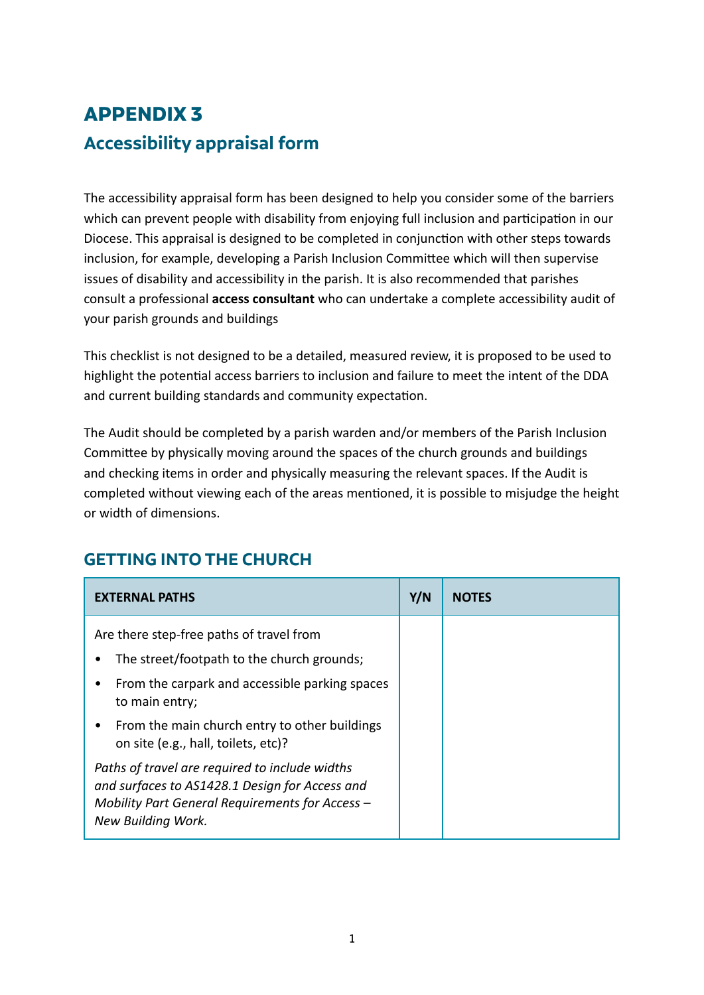## **APPENDIX 3 Accessibility appraisal form**

The accessibility appraisal form has been designed to help you consider some of the barriers which can prevent people with disability from enjoying full inclusion and participation in our Diocese. This appraisal is designed to be completed in conjunction with other steps towards inclusion, for example, developing a Parish Inclusion Committee which will then supervise issues of disability and accessibility in the parish. It is also recommended that parishes consult a professional **access consultant** who can undertake a complete accessibility audit of your parish grounds and buildings

This checklist is not designed to be a detailed, measured review, it is proposed to be used to highlight the potential access barriers to inclusion and failure to meet the intent of the DDA and current building standards and community expectation.

The Audit should be completed by a parish warden and/or members of the Parish Inclusion Committee by physically moving around the spaces of the church grounds and buildings and checking items in order and physically measuring the relevant spaces. If the Audit is completed without viewing each of the areas mentioned, it is possible to misjudge the height or width of dimensions.

| <b>EXTERNAL PATHS</b>                                                                                                                                                     | Y/N | <b>NOTFS</b> |
|---------------------------------------------------------------------------------------------------------------------------------------------------------------------------|-----|--------------|
| Are there step-free paths of travel from<br>The street/footpath to the church grounds;                                                                                    |     |              |
| From the carpark and accessible parking spaces<br>to main entry;                                                                                                          |     |              |
| From the main church entry to other buildings<br>on site (e.g., hall, toilets, etc)?                                                                                      |     |              |
| Paths of travel are required to include widths<br>and surfaces to AS1428.1 Design for Access and<br>Mobility Part General Requirements for Access -<br>New Building Work. |     |              |

## **GETTING INTO THE CHURCH**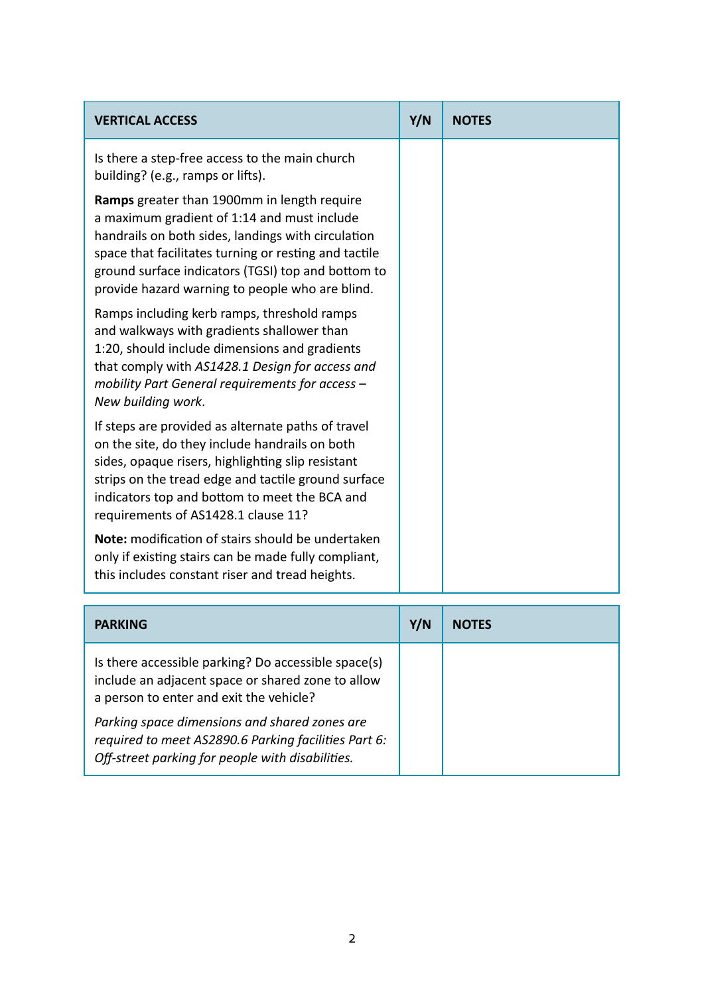| <b>VERTICAL ACCESS</b>                                                                                                                                                                                                                                                                                             | Y/N | <b>NOTES</b> |
|--------------------------------------------------------------------------------------------------------------------------------------------------------------------------------------------------------------------------------------------------------------------------------------------------------------------|-----|--------------|
| Is there a step-free access to the main church<br>building? (e.g., ramps or lifts).                                                                                                                                                                                                                                |     |              |
| Ramps greater than 1900mm in length require<br>a maximum gradient of 1:14 and must include<br>handrails on both sides, landings with circulation<br>space that facilitates turning or resting and tactile<br>ground surface indicators (TGSI) top and bottom to<br>provide hazard warning to people who are blind. |     |              |
| Ramps including kerb ramps, threshold ramps<br>and walkways with gradients shallower than<br>1:20, should include dimensions and gradients<br>that comply with AS1428.1 Design for access and<br>mobility Part General requirements for access -<br>New building work.                                             |     |              |
| If steps are provided as alternate paths of travel<br>on the site, do they include handrails on both<br>sides, opaque risers, highlighting slip resistant<br>strips on the tread edge and tactile ground surface<br>indicators top and bottom to meet the BCA and<br>requirements of AS1428.1 clause 11?           |     |              |
| Note: modification of stairs should be undertaken<br>only if existing stairs can be made fully compliant,<br>this includes constant riser and tread heights.                                                                                                                                                       |     |              |

| <b>PARKING</b>                                                                                                                                            | Y/N | <b>NOTES</b> |
|-----------------------------------------------------------------------------------------------------------------------------------------------------------|-----|--------------|
| Is there accessible parking? Do accessible space(s)<br>include an adjacent space or shared zone to allow<br>a person to enter and exit the vehicle?       |     |              |
| Parking space dimensions and shared zones are<br>required to meet AS2890.6 Parking facilities Part 6:<br>Off-street parking for people with disabilities. |     |              |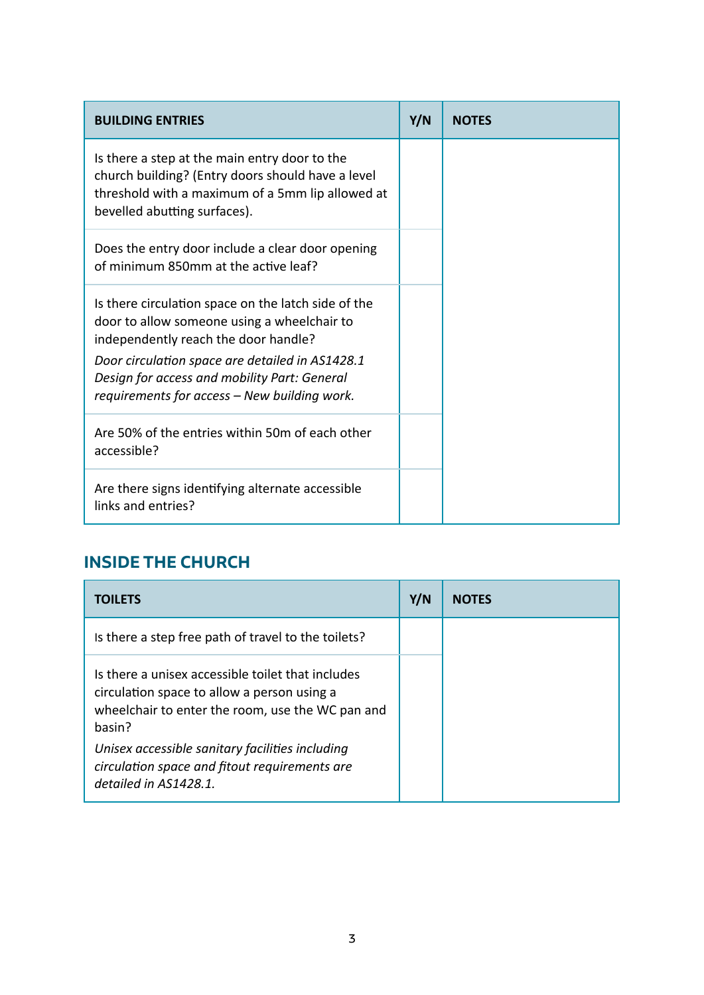| <b>BUILDING ENTRIES</b>                                                                                                                                                                                                                       | Y/N | <b>NOTES</b> |
|-----------------------------------------------------------------------------------------------------------------------------------------------------------------------------------------------------------------------------------------------|-----|--------------|
| Is there a step at the main entry door to the<br>church building? (Entry doors should have a level<br>threshold with a maximum of a 5mm lip allowed at<br>bevelled abutting surfaces).                                                        |     |              |
| Does the entry door include a clear door opening<br>of minimum 850mm at the active leaf?                                                                                                                                                      |     |              |
| Is there circulation space on the latch side of the<br>door to allow someone using a wheelchair to<br>independently reach the door handle?<br>Door circulation space are detailed in AS1428.1<br>Design for access and mobility Part: General |     |              |
| requirements for access - New building work.                                                                                                                                                                                                  |     |              |
| Are 50% of the entries within 50m of each other<br>accessible?                                                                                                                                                                                |     |              |
| Are there signs identifying alternate accessible<br>links and entries?                                                                                                                                                                        |     |              |

## **INSIDE THE CHURCH**

| <b>TOILETS</b>                                                                                                                                                 | Y/N | <b>NOTES</b> |
|----------------------------------------------------------------------------------------------------------------------------------------------------------------|-----|--------------|
| Is there a step free path of travel to the toilets?                                                                                                            |     |              |
| Is there a unisex accessible toilet that includes<br>circulation space to allow a person using a<br>wheelchair to enter the room, use the WC pan and<br>basin? |     |              |
| Unisex accessible sanitary facilities including<br>circulation space and fitout requirements are<br>detailed in AS1428.1.                                      |     |              |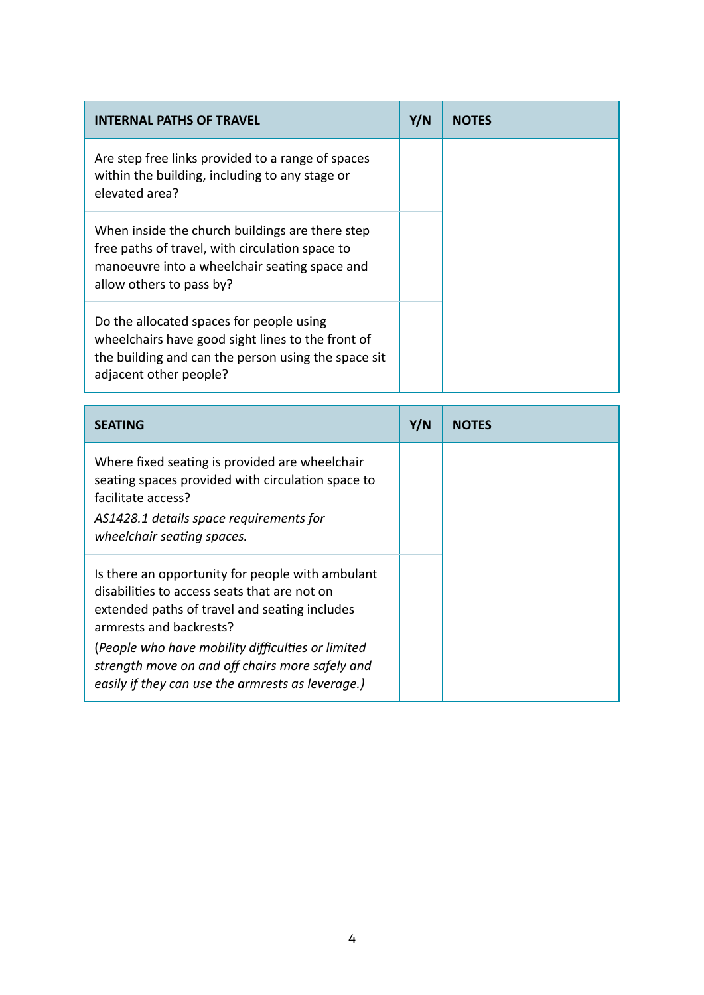| <b>INTERNAL PATHS OF TRAVEL</b>                                                                                                                                                 | Y/N | <b>NOTES</b> |
|---------------------------------------------------------------------------------------------------------------------------------------------------------------------------------|-----|--------------|
| Are step free links provided to a range of spaces<br>within the building, including to any stage or<br>elevated area?                                                           |     |              |
| When inside the church buildings are there step<br>free paths of travel, with circulation space to<br>manoeuvre into a wheelchair seating space and<br>allow others to pass by? |     |              |
| Do the allocated spaces for people using<br>wheelchairs have good sight lines to the front of<br>the building and can the person using the space sit<br>adjacent other people?  |     |              |

| <b>SEATING</b>                                                                                                                                                                                                                                                                                                                            | Y/N | <b>NOTES</b> |
|-------------------------------------------------------------------------------------------------------------------------------------------------------------------------------------------------------------------------------------------------------------------------------------------------------------------------------------------|-----|--------------|
| Where fixed seating is provided are wheelchair<br>seating spaces provided with circulation space to<br>facilitate access?<br>AS1428.1 details space requirements for<br>wheelchair seating spaces.                                                                                                                                        |     |              |
| Is there an opportunity for people with ambulant<br>disabilities to access seats that are not on<br>extended paths of travel and seating includes<br>armrests and backrests?<br>(People who have mobility difficulties or limited<br>strength move on and off chairs more safely and<br>easily if they can use the armrests as leverage.) |     |              |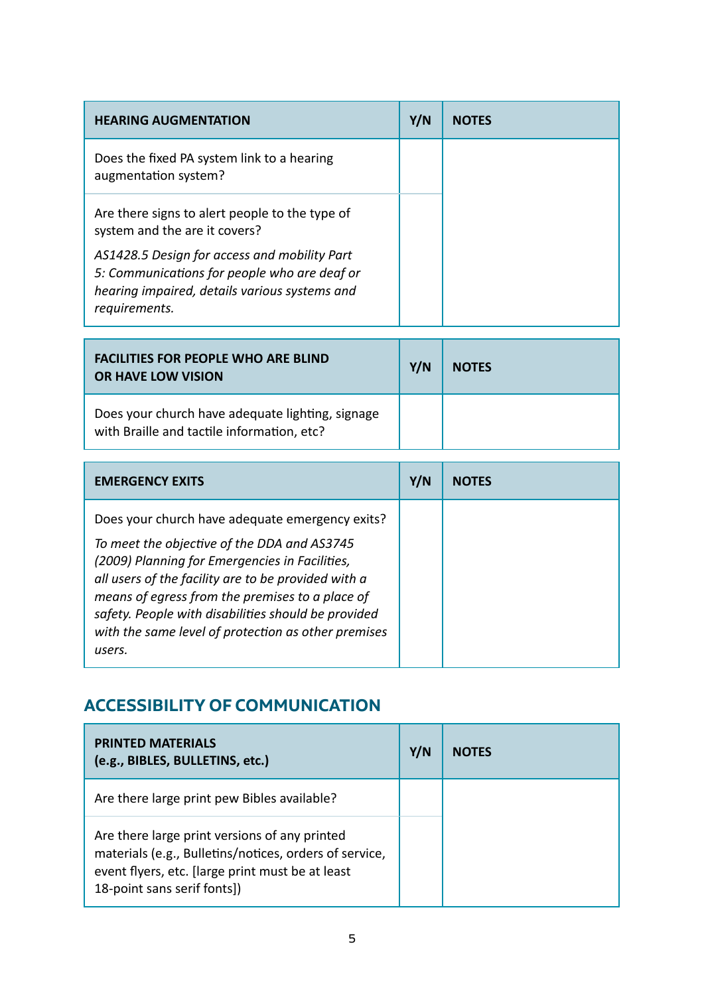| <b>HEARING AUGMENTATION</b>                                                                                                                                    | Y/N | <b>NOTES</b> |
|----------------------------------------------------------------------------------------------------------------------------------------------------------------|-----|--------------|
| Does the fixed PA system link to a hearing<br>augmentation system?                                                                                             |     |              |
| Are there signs to alert people to the type of<br>system and the are it covers?                                                                                |     |              |
| AS1428.5 Design for access and mobility Part<br>5: Communications for people who are deaf or<br>hearing impaired, details various systems and<br>requirements. |     |              |

| <b>FACILITIES FOR PEOPLE WHO ARE BLIND</b><br><b>OR HAVE LOW VISION</b>                        | Y/N | <b>NOTES</b> |
|------------------------------------------------------------------------------------------------|-----|--------------|
| Does your church have adequate lighting, signage<br>with Braille and tactile information, etc? |     |              |

| <b>EMERGENCY EXITS</b>                                                                                                                                                                                                                                                                                                                                                             | Y/N | <b>NOTES</b> |
|------------------------------------------------------------------------------------------------------------------------------------------------------------------------------------------------------------------------------------------------------------------------------------------------------------------------------------------------------------------------------------|-----|--------------|
| Does your church have adequate emergency exits?<br>To meet the objective of the DDA and AS3745<br>(2009) Planning for Emergencies in Facilities,<br>all users of the facility are to be provided with a<br>means of egress from the premises to a place of<br>safety. People with disabilities should be provided<br>with the same level of protection as other premises<br>users. |     |              |

## **ACCESSIBILITY OF COMMUNICATION**

| <b>PRINTED MATERIALS</b><br>(e.g., BIBLES, BULLETINS, etc.)                                                                                                                                | Y/N | <b>NOTES</b> |
|--------------------------------------------------------------------------------------------------------------------------------------------------------------------------------------------|-----|--------------|
| Are there large print pew Bibles available?                                                                                                                                                |     |              |
| Are there large print versions of any printed<br>materials (e.g., Bulletins/notices, orders of service,<br>event flyers, etc. [large print must be at least<br>18-point sans serif fonts]) |     |              |